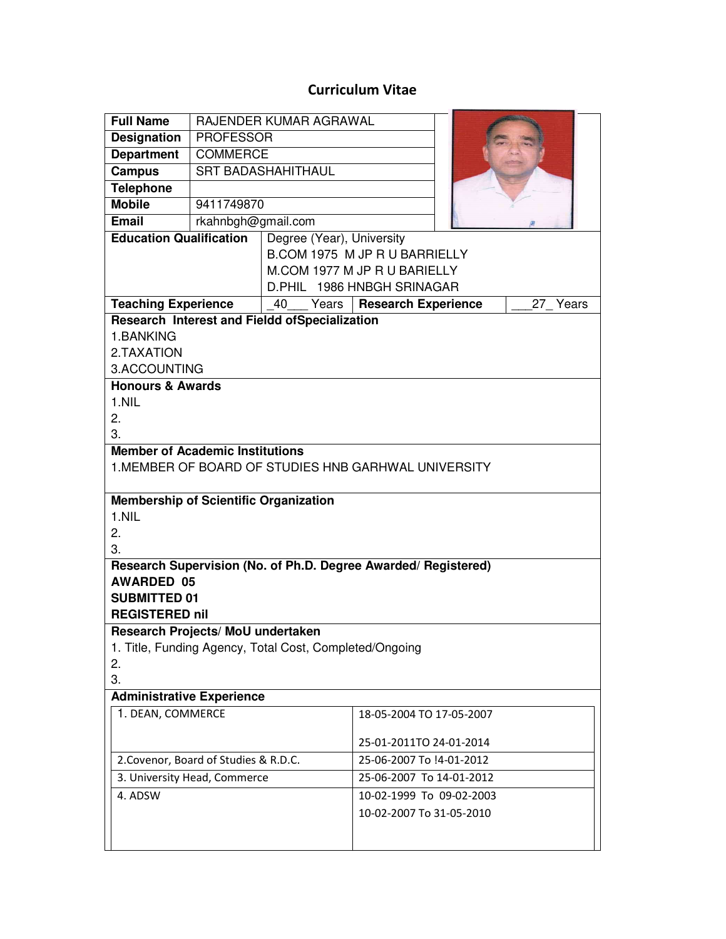## **Curriculum Vitae**

| <b>Full Name</b>                                                                               | RAJENDER KUMAR AGRAWAL    |                                                                |                          |  |  |
|------------------------------------------------------------------------------------------------|---------------------------|----------------------------------------------------------------|--------------------------|--|--|
| <b>Designation</b>                                                                             | <b>PROFESSOR</b>          |                                                                |                          |  |  |
| <b>Department</b>                                                                              | <b>COMMERCE</b>           |                                                                |                          |  |  |
| <b>Campus</b>                                                                                  | <b>SRT BADASHAHITHAUL</b> |                                                                |                          |  |  |
| <b>Telephone</b>                                                                               |                           |                                                                |                          |  |  |
| <b>Mobile</b>                                                                                  | 9411749870                |                                                                |                          |  |  |
| <b>Email</b>                                                                                   | rkahnbgh@gmail.com        |                                                                |                          |  |  |
| <b>Education Qualification</b>                                                                 |                           | Degree (Year), University                                      |                          |  |  |
|                                                                                                |                           | B.COM 1975 M JP R U BARRIELLY                                  |                          |  |  |
|                                                                                                |                           | M.COM 1977 M JP R U BARIELLY                                   |                          |  |  |
|                                                                                                |                           | D.PHIL 1986 HNBGH SRINAGAR                                     |                          |  |  |
| <b>Teaching Experience</b>                                                                     |                           | Years<br><b>Research Experience</b><br>27 Years<br>40          |                          |  |  |
| Research Interest and Fieldd ofSpecialization                                                  |                           |                                                                |                          |  |  |
| 1.BANKING                                                                                      |                           |                                                                |                          |  |  |
| 2.TAXATION                                                                                     |                           |                                                                |                          |  |  |
| 3.ACCOUNTING                                                                                   |                           |                                                                |                          |  |  |
| <b>Honours &amp; Awards</b>                                                                    |                           |                                                                |                          |  |  |
| 1.NIL                                                                                          |                           |                                                                |                          |  |  |
| 2.<br>3.                                                                                       |                           |                                                                |                          |  |  |
|                                                                                                |                           |                                                                |                          |  |  |
| <b>Member of Academic Institutions</b><br>1. MEMBER OF BOARD OF STUDIES HNB GARHWAL UNIVERSITY |                           |                                                                |                          |  |  |
|                                                                                                |                           |                                                                |                          |  |  |
| <b>Membership of Scientific Organization</b>                                                   |                           |                                                                |                          |  |  |
| 1.NIL                                                                                          |                           |                                                                |                          |  |  |
| 2.                                                                                             |                           |                                                                |                          |  |  |
| 3.                                                                                             |                           |                                                                |                          |  |  |
|                                                                                                |                           | Research Supervision (No. of Ph.D. Degree Awarded/ Registered) |                          |  |  |
| <b>AWARDED 05</b>                                                                              |                           |                                                                |                          |  |  |
| <b>SUBMITTED 01</b>                                                                            |                           |                                                                |                          |  |  |
| <b>REGISTERED nil</b>                                                                          |                           |                                                                |                          |  |  |
| Research Projects/ MoU undertaken                                                              |                           |                                                                |                          |  |  |
| 1. Title, Funding Agency, Total Cost, Completed/Ongoing                                        |                           |                                                                |                          |  |  |
| 2.                                                                                             |                           |                                                                |                          |  |  |
| 3.                                                                                             |                           |                                                                |                          |  |  |
| <b>Administrative Experience</b>                                                               |                           |                                                                |                          |  |  |
| 1. DEAN, COMMERCE                                                                              |                           |                                                                | 18-05-2004 TO 17-05-2007 |  |  |
|                                                                                                |                           |                                                                | 25-01-2011TO 24-01-2014  |  |  |
| 2. Covenor, Board of Studies & R.D.C.                                                          |                           |                                                                | 25-06-2007 To !4-01-2012 |  |  |
| 3. University Head, Commerce                                                                   |                           |                                                                | 25-06-2007 To 14-01-2012 |  |  |
| 4. ADSW                                                                                        |                           |                                                                | 10-02-1999 To 09-02-2003 |  |  |
|                                                                                                |                           |                                                                | 10-02-2007 To 31-05-2010 |  |  |
|                                                                                                |                           |                                                                |                          |  |  |
|                                                                                                |                           |                                                                |                          |  |  |